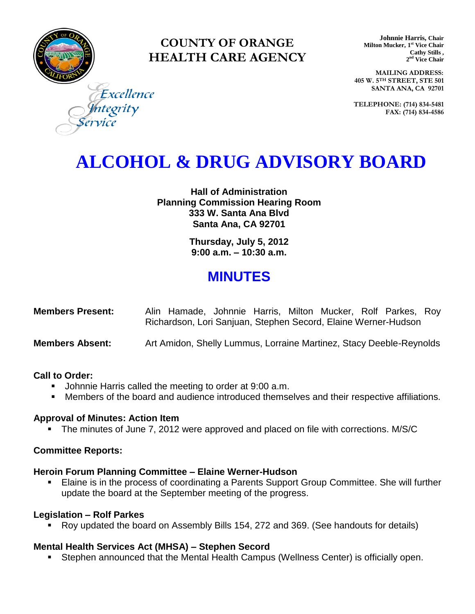

### **COUNTY OF ORANGE HEALTH CARE AGENCY**

**Johnnie Harris, Chair Milton Mucker, 1 st Vice Chair Cathy Stills , 2 nd Vice Chair**

**MAILING ADDRESS: 405 W. 5TH STREET, STE 501 SANTA ANA, CA 92701**

**TELEPHONE: (714) 834-5481 FAX: (714) 834-4586**

Excellence tegrity

## **ALCOHOL & DRUG ADVISORY BOARD**

**Hall of Administration Planning Commission Hearing Room 333 W. Santa Ana Blvd Santa Ana, CA 92701**

> **Thursday, July 5, 2012 9:00 a.m. – 10:30 a.m.**

### **MINUTES**

| <b>Members Present:</b> | Alin Hamade, Johnnie Harris, Milton Mucker, Rolf Parkes, Roy   |  |  |  |  |
|-------------------------|----------------------------------------------------------------|--|--|--|--|
|                         | Richardson, Lori Sanjuan, Stephen Secord, Elaine Werner-Hudson |  |  |  |  |

**Members Absent:** Art Amidon, Shelly Lummus, Lorraine Martinez, Stacy Deeble-Reynolds

#### **Call to Order:**

- **Johnnie Harris called the meeting to order at 9:00 a.m.**
- Members of the board and audience introduced themselves and their respective affiliations.

#### **Approval of Minutes: Action Item**

• The minutes of June 7, 2012 were approved and placed on file with corrections. M/S/C

#### **Committee Reports:**

#### **Heroin Forum Planning Committee – Elaine Werner-Hudson**

 Elaine is in the process of coordinating a Parents Support Group Committee. She will further update the board at the September meeting of the progress.

#### **Legislation – Rolf Parkes**

Roy updated the board on Assembly Bills 154, 272 and 369. (See handouts for details)

#### **Mental Health Services Act (MHSA) – Stephen Secord**

Stephen announced that the Mental Health Campus (Wellness Center) is officially open.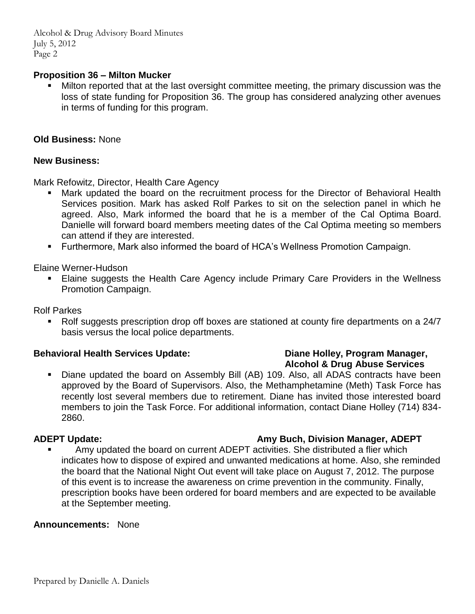Alcohol & Drug Advisory Board Minutes July 5, 2012 Page 2

#### **Proposition 36 – Milton Mucker**

 Milton reported that at the last oversight committee meeting, the primary discussion was the loss of state funding for Proposition 36. The group has considered analyzing other avenues in terms of funding for this program.

#### **Old Business:** None

#### **New Business:**

Mark Refowitz, Director, Health Care Agency

- Mark updated the board on the recruitment process for the Director of Behavioral Health Services position. Mark has asked Rolf Parkes to sit on the selection panel in which he agreed. Also, Mark informed the board that he is a member of the Cal Optima Board. Danielle will forward board members meeting dates of the Cal Optima meeting so members can attend if they are interested.
- Furthermore, Mark also informed the board of HCA's Wellness Promotion Campaign.

Elaine Werner-Hudson

**Elaine suggests the Health Care Agency include Primary Care Providers in the Wellness** Promotion Campaign.

Rolf Parkes

• Rolf suggests prescription drop off boxes are stationed at county fire departments on a 24/7 basis versus the local police departments.

#### **Behavioral Health Services Update: Diane Holley, Program Manager,**

 Diane updated the board on Assembly Bill (AB) 109. Also, all ADAS contracts have been approved by the Board of Supervisors. Also, the Methamphetamine (Meth) Task Force has recently lost several members due to retirement. Diane has invited those interested board members to join the Task Force. For additional information, contact Diane Holley (714) 834- 2860.

#### **ADEPT Update: Amy Buch, Division Manager, ADEPT**

 Amy updated the board on current ADEPT activities. She distributed a flier which indicates how to dispose of expired and unwanted medications at home. Also, she reminded the board that the National Night Out event will take place on August 7, 2012. The purpose of this event is to increase the awareness on crime prevention in the community. Finally, prescription books have been ordered for board members and are expected to be available at the September meeting.

#### **Announcements:** None

# **Alcohol & Drug Abuse Services**